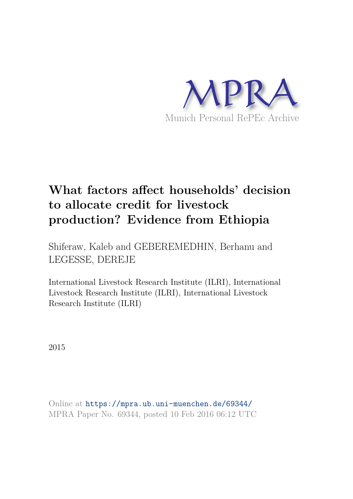

# **What factors affect households' decision to allocate credit for livestock production? Evidence from Ethiopia**

Shiferaw, Kaleb and GEBEREMEDHIN, Berhanu and LEGESSE, DEREJE

International Livestock Research Institute (ILRI), International Livestock Research Institute (ILRI), International Livestock Research Institute (ILRI)

2015

Online at https://mpra.ub.uni-muenchen.de/69344/ MPRA Paper No. 69344, posted 10 Feb 2016 06:12 UTC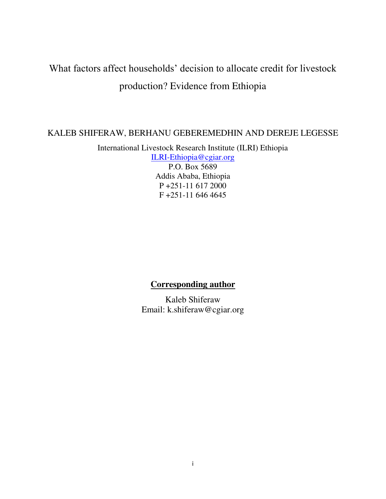# What factors affect households' decision to allocate credit for livestock production? Evidence from Ethiopia

# KALEB SHIFERAW, BERHANU GEBEREMEDHIN AND DEREJE LEGESSE

International Livestock Research Institute (ILRI) Ethiopia

[ILRI-Ethiopia@cgiar.org](mailto:ILRI-Ethiopia@cgiar.org) P.O. Box 5689 Addis Ababa, Ethiopia P +251-11 617 2000 F +251-11 646 4645

# **Corresponding author**

Kaleb Shiferaw Email: k.shiferaw@cgiar.org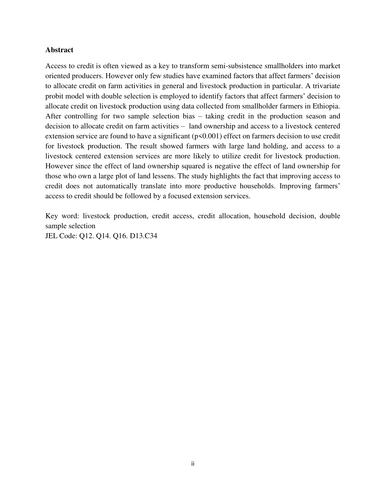# **Abstract**

Access to credit is often viewed as a key to transform semi-subsistence smallholders into market oriented producers. However only few studies have examined factors that affect farmers' decision to allocate credit on farm activities in general and livestock production in particular. A trivariate probit model with double selection is employed to identify factors that affect farmers' decision to allocate credit on livestock production using data collected from smallholder farmers in Ethiopia. After controlling for two sample selection bias – taking credit in the production season and decision to allocate credit on farm activities – land ownership and access to a livestock centered extension service are found to have a significant ( $p$ <0.001) effect on farmers decision to use credit for livestock production. The result showed farmers with large land holding, and access to a livestock centered extension services are more likely to utilize credit for livestock production. However since the effect of land ownership squared is negative the effect of land ownership for those who own a large plot of land lessens. The study highlights the fact that improving access to credit does not automatically translate into more productive households. Improving farmers' access to credit should be followed by a focused extension services.

Key word: livestock production, credit access, credit allocation, household decision, double sample selection JEL Code: Q12. Q14. Q16. D13.C34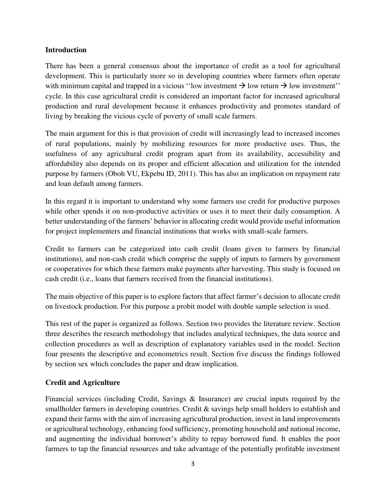# **Introduction**

There has been a general consensus about the importance of credit as a tool for agricultural development. This is particularly more so in developing countries where farmers often operate with minimum capital and trapped in a vicious "low investment  $\rightarrow$  low return  $\rightarrow$  low investment" cycle. In this case agricultural credit is considered an important factor for increased agricultural production and rural development because it enhances productivity and promotes standard of living by breaking the vicious cycle of poverty of small scale farmers.

The main argument for this is that provision of credit will increasingly lead to increased incomes of rural populations, mainly by mobilizing resources for more productive uses. Thus, the usefulness of any agricultural credit program apart from its availability, accessibility and affordability also depends on its proper and efficient allocation and utilization for the intended purpose by farmers (Oboh VU, Ekpebu ID, 2011). This has also an implication on repayment rate and loan default among farmers.

In this regard it is important to understand why some farmers use credit for productive purposes while other spends it on non-productive activities or uses it to meet their daily consumption. A better understanding of the farmers' behavior in allocating credit would provide useful information for project implementers and financial institutions that works with small-scale farmers.

Credit to farmers can be categorized into cash credit (loans given to farmers by financial institutions), and non-cash credit which comprise the supply of inputs to farmers by government or cooperatives for which these farmers make payments after harvesting. This study is focused on cash credit (i.e., loans that farmers received from the financial institutions).

The main objective of this paper is to explore factors that affect farmer's decision to allocate credit on livestock production. For this purpose a probit model with double sample selection is used.

This rest of the paper is organized as follows. Section two provides the literature review. Section three describes the research methodology that includes analytical techniques, the data source and collection procedures as well as description of explanatory variables used in the model. Section four presents the descriptive and econometrics result. Section five discuss the findings followed by section sex which concludes the paper and draw implication.

# **Credit and Agriculture**

Financial services (including Credit, Savings & Insurance) are crucial inputs required by the smallholder farmers in developing countries. Credit & savings help small holders to establish and expand their farms with the aim of increasing agricultural production, invest in land improvements or agricultural technology, enhancing food sufficiency, promoting household and national income, and augmenting the individual borrower's ability to repay borrowed fund. It enables the poor farmers to tap the financial resources and take advantage of the potentially profitable investment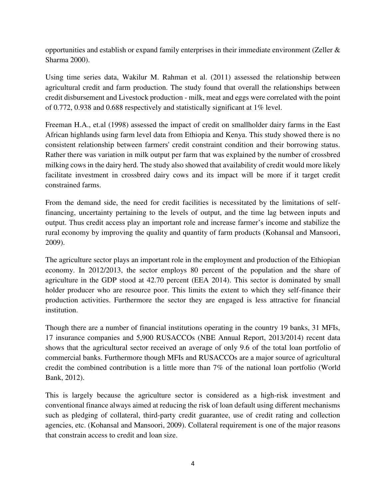opportunities and establish or expand family enterprises in their immediate environment (Zeller  $\&$ Sharma 2000).

Using time series data, Wakilur M. Rahman et al. (2011) assessed the relationship between agricultural credit and farm production. The study found that overall the relationships between credit disbursement and Livestock production - milk, meat and eggs were correlated with the point of 0.772, 0.938 and 0.688 respectively and statistically significant at 1% level.

Freeman H.A., et.al (1998) assessed the impact of credit on smallholder dairy farms in the East African highlands using farm level data from Ethiopia and Kenya. This study showed there is no consistent relationship between farmers' credit constraint condition and their borrowing status. Rather there was variation in milk output per farm that was explained by the number of crossbred milking cows in the dairy herd. The study also showed that availability of credit would more likely facilitate investment in crossbred dairy cows and its impact will be more if it target credit constrained farms.

From the demand side, the need for credit facilities is necessitated by the limitations of selffinancing, uncertainty pertaining to the levels of output, and the time lag between inputs and output. Thus credit access play an important role and increase farmer's income and stabilize the rural economy by improving the quality and quantity of farm products (Kohansal and Mansoori, 2009).

The agriculture sector plays an important role in the employment and production of the Ethiopian economy. In 2012/2013, the sector employs 80 percent of the population and the share of agriculture in the GDP stood at 42.70 percent (EEA 2014). This sector is dominated by small holder producer who are resource poor. This limits the extent to which they self-finance their production activities. Furthermore the sector they are engaged is less attractive for financial institution.

Though there are a number of financial institutions operating in the country 19 banks, 31 MFIs, 17 insurance companies and 5,900 RUSACCOs (NBE Annual Report, 2013/2014) recent data shows that the agricultural sector received an average of only 9.6 of the total loan portfolio of commercial banks. Furthermore though MFIs and RUSACCOs are a major source of agricultural credit the combined contribution is a little more than 7% of the national loan portfolio (World Bank, 2012).

This is largely because the agriculture sector is considered as a high-risk investment and conventional finance always aimed at reducing the risk of loan default using different mechanisms such as pledging of collateral, third-party credit guarantee, use of credit rating and collection agencies, etc. (Kohansal and Mansoori, 2009). Collateral requirement is one of the major reasons that constrain access to credit and loan size.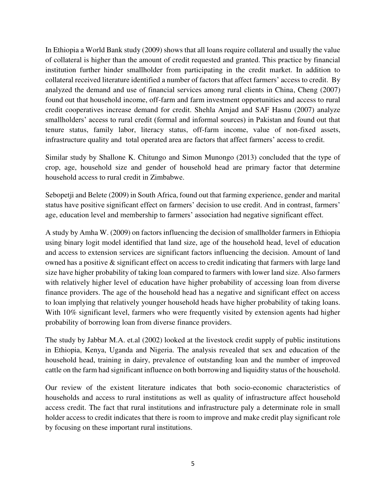In Ethiopia a World Bank study (2009) shows that all loans require collateral and usually the value of collateral is higher than the amount of credit requested and granted. This practice by financial institution further hinder smallholder from participating in the credit market. In addition to collateral received literature identified a number of factors that affect farmers' access to credit. By analyzed the demand and use of financial services among rural clients in China, Cheng (2007) found out that household income, off-farm and farm investment opportunities and access to rural credit cooperatives increase demand for credit. Shehla Amjad and SAF Hasnu (2007) analyze smallholders' access to rural credit (formal and informal sources) in Pakistan and found out that tenure status, family labor, literacy status, off-farm income, value of non-fixed assets, infrastructure quality and total operated area are factors that affect farmers' access to credit.

Similar study by Shallone K. Chitungo and Simon Munongo (2013) concluded that the type of crop, age, household size and gender of household head are primary factor that determine household access to rural credit in Zimbabwe.

Sebopetji and Belete (2009) in South Africa, found out that farming experience, gender and marital status have positive significant effect on farmers' decision to use credit. And in contrast, farmers' age, education level and membership to farmers' association had negative significant effect.

A study by Amha W. (2009) on factors influencing the decision of smallholder farmers in Ethiopia using binary logit model identified that land size, age of the household head, level of education and access to extension services are significant factors influencing the decision. Amount of land owned has a positive  $\&$  significant effect on access to credit indicating that farmers with large land size have higher probability of taking loan compared to farmers with lower land size. Also farmers with relatively higher level of education have higher probability of accessing loan from diverse finance providers. The age of the household head has a negative and significant effect on access to loan implying that relatively younger household heads have higher probability of taking loans. With 10% significant level, farmers who were frequently visited by extension agents had higher probability of borrowing loan from diverse finance providers.

The study by Jabbar M.A. et.al (2002) looked at the livestock credit supply of public institutions in Ethiopia, Kenya, Uganda and Nigeria. The analysis revealed that sex and education of the household head, training in dairy, prevalence of outstanding loan and the number of improved cattle on the farm had significant influence on both borrowing and liquidity status of the household.

Our review of the existent literature indicates that both socio-economic characteristics of households and access to rural institutions as well as quality of infrastructure affect household access credit. The fact that rural institutions and infrastructure paly a determinate role in small holder access to credit indicates that there is room to improve and make credit play significant role by focusing on these important rural institutions.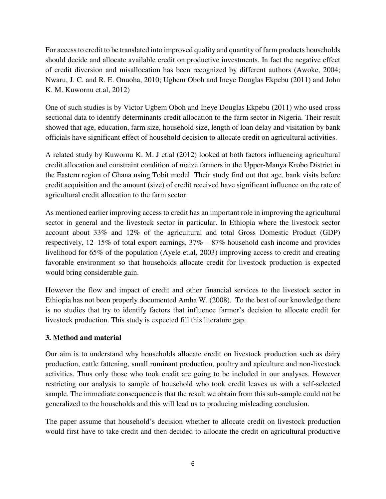For access to credit to be translated into improved quality and quantity of farm products households should decide and allocate available credit on productive investments. In fact the negative effect of credit diversion and misallocation has been recognized by different authors (Awoke, 2004; Nwaru, J. C. and R. E. Onuoha, 2010; Ugbem Oboh and Ineye Douglas Ekpebu (2011) and John K. M. Kuwornu et.al, 2012)

One of such studies is by Victor Ugbem Oboh and Ineye Douglas Ekpebu (2011) who used cross sectional data to identify determinants credit allocation to the farm sector in Nigeria. Their result showed that age, education, farm size, household size, length of loan delay and visitation by bank officials have significant effect of household decision to allocate credit on agricultural activities.

A related study by Kuwornu K. M. J et.al (2012) looked at both factors influencing agricultural credit allocation and constraint condition of maize farmers in the Upper-Manya Krobo District in the Eastern region of Ghana using Tobit model. Their study find out that age, bank visits before credit acquisition and the amount (size) of credit received have significant influence on the rate of agricultural credit allocation to the farm sector.

As mentioned earlier improving access to credit has an important role in improving the agricultural sector in general and the livestock sector in particular. In Ethiopia where the livestock sector account about 33% and 12% of the agricultural and total Gross Domestic Product (GDP) respectively, 12–15% of total export earnings, 37% – 87% household cash income and provides livelihood for 65% of the population (Ayele et.al, 2003) improving access to credit and creating favorable environment so that households allocate credit for livestock production is expected would bring considerable gain.

However the flow and impact of credit and other financial services to the livestock sector in Ethiopia has not been properly documented Amha W. (2008). To the best of our knowledge there is no studies that try to identify factors that influence farmer's decision to allocate credit for livestock production. This study is expected fill this literature gap.

# **3. Method and material**

Our aim is to understand why households allocate credit on livestock production such as dairy production, cattle fattening, small ruminant production, poultry and apiculture and non-livestock activities. Thus only those who took credit are going to be included in our analyses. However restricting our analysis to sample of household who took credit leaves us with a self-selected sample. The immediate consequence is that the result we obtain from this sub-sample could not be generalized to the households and this will lead us to producing misleading conclusion.

The paper assume that household's decision whether to allocate credit on livestock production would first have to take credit and then decided to allocate the credit on agricultural productive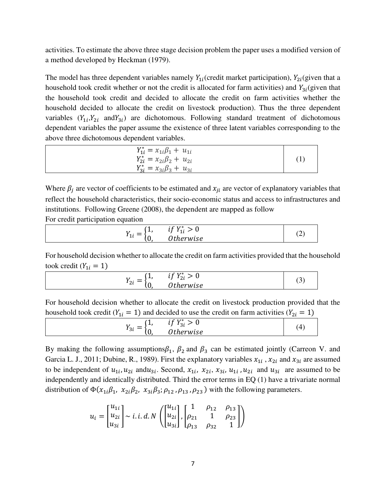activities. To estimate the above three stage decision problem the paper uses a modified version of a method developed by Heckman (1979).

The model has three dependent variables namely  $Y_{1i}$  (credit market participation),  $Y_{2i}$  (given that a household took credit whether or not the credit is allocated for farm activities) and  $Y_{3i}$  (given that the household took credit and decided to allocate the credit on farm activities whether the household decided to allocate the credit on livestock production). Thus the three dependent variables  $(Y_{1i}, Y_{2i}$  and  $Y_{3i})$  are dichotomous. Following standard treatment of dichotomous dependent variables the paper assume the existence of three latent variables corresponding to the above three dichotomous dependent variables.

| $Y_{1i}^* = x_{1i}\beta_1 + u_{1i}$ |  |
|-------------------------------------|--|
| $Y_{2i}^* = x_{2i}\beta_2 + u_{2i}$ |  |
| $Y_{3i}^* = x_{3i}\beta_3 + u_{3i}$ |  |
|                                     |  |

Where  $\beta_j$  are vector of coefficients to be estimated and  $x_{ji}$  are vector of explanatory variables that reflect the household characteristics, their socio-economic status and access to infrastructures and institutions. Following Greene (2008), the dependent are mapped as follow For credit participation equation

| __<br>__                                                                             |                                                                               |                |
|--------------------------------------------------------------------------------------|-------------------------------------------------------------------------------|----------------|
| <b>L</b><br>- -<br>$\overline{\phantom{a}}$<br>$\overline{\phantom{a}}$<br>πr<br>ιv, | $V^*$<br>$\cdot$ $\sim$<br>$\blacktriangleleft$<br><br>ᅩ<br>$\gamma$ +herwise | $\hat{ }$<br>、 |
|                                                                                      |                                                                               |                |

For household decision whether to allocate the credit on farm activities provided that the household took credit ( $Y_{1i} = 1$ )

$$
Y_{2i} = \begin{cases} 1, & if Y_{2i}^* > 0 \\ 0, & Otherwise \end{cases}
$$
 (3)

For household decision whether to allocate the credit on livestock production provided that the household took credit ( $Y_{1i} = 1$ ) and decided to use the credit on farm activities ( $Y_{2i} = 1$ )

$$
Y_{3i} = \begin{cases} 1, & if Y_{3i}^* > 0 \\ 0, & Otherwise \end{cases}
$$
 (4)

By making the following assumptions $\beta_1$ ,  $\beta_2$  and  $\beta_3$  can be estimated jointly (Carreon V. and Garcia L. J., 2011; Dubine, R., 1989). First the explanatory variables  $x_{1i}$ ,  $x_{2i}$  and  $x_{3i}$  are assumed to be independent of  $u_{1i}$ ,  $u_{2i}$  and  $u_{3i}$ . Second,  $x_{1i}$ ,  $x_{2i}$ ,  $x_{3i}$ ,  $u_{1i}$ ,  $u_{2i}$  and  $u_{3i}$  are assumed to be independently and identically distributed. Third the error terms in EQ (1) have a trivariate normal distribution of  $\Phi(x_{1i}\beta_1, x_{2i}\beta_2, x_{3i}\beta_3; \rho_{12}, \rho_{13}, \rho_{23})$  with the following parameters.

$$
u_i = \begin{bmatrix} u_{1i} \\ u_{2i} \\ u_{3i} \end{bmatrix} \sim i.i.d.N \left( \begin{bmatrix} u_{1i} \\ u_{2i} \\ u_{3i} \end{bmatrix}, \begin{bmatrix} 1 & \rho_{12} & \rho_{13} \\ \rho_{21} & 1 & \rho_{23} \\ \rho_{13} & \rho_{32} & 1 \end{bmatrix} \right)
$$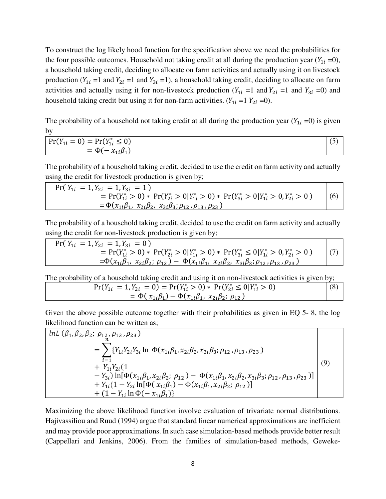To construct the log likely hood function for the specification above we need the probabilities for the four possible outcomes. Household not taking credit at all during the production year  $(Y_{1i} = 0)$ , a household taking credit, deciding to allocate on farm activities and actually using it on livestock production ( $Y_{1i}$  =1 and  $Y_{2i}$  =1 and  $Y_{3i}$  =1), a household taking credit, deciding to allocate on farm activities and actually using it for non-livestock production  $(Y_{1i} = 1 \text{ and } Y_{2i} = 1 \text{ and } Y_{3i} = 0)$  and household taking credit but using it for non-farm activities.  $(Y_{1i} = 1 | Y_{2i} = 0)$ .

The probability of a household not taking credit at all during the production year  $(Y_{1i} = 0)$  is given by

| $\Pr(Y_{1i} = 0) = \Pr(Y_{1i}^* \le 0)$ |  |
|-----------------------------------------|--|
| $\mathbb{R}^n$<br>$= \Phi(-x)$          |  |
|                                         |  |

The probability of a household taking credit, decided to use the credit on farm activity and actually using the credit for livestock production is given by;

$$
\Pr(Y_{1i} = 1, Y_{2i} = 1, Y_{3i} = 1)
$$
\n
$$
= \Pr(Y_{1i}^* > 0) * \Pr(Y_{2i}^* > 0 | Y_{1i}^* > 0) * \Pr(Y_{3i}^* > 0 | Y_{1i}^* > 0, Y_{2i}^* > 0)
$$
\n
$$
= \Phi(x_{1i}\beta_1, x_{2i}\beta_2, x_{3i}\beta_3; \rho_{12}, \rho_{13}, \rho_{23})
$$
\n(6)

The probability of a household taking credit, decided to use the credit on farm activity and actually using the credit for non-livestock production is given by;

$$
\Pr(Y_{1i} = 1, Y_{2i} = 1, Y_{3i} = 0)
$$
\n
$$
= \Pr(Y_{1i}^* > 0) * \Pr(Y_{2i}^* > 0 | Y_{1i}^* > 0) * \Pr(Y_{3i}^* \le 0 | Y_{1i}^* > 0, Y_{2i}^* > 0)
$$
\n
$$
= \Phi(x_{1i}\beta_1, x_{2i}\beta_2; \rho_{12}) - \Phi(x_{1i}\beta_1, x_{2i}\beta_2, x_{3i}\beta_3; \rho_{12}, \rho_{13}, \rho_{23})
$$
\n(7)

The probability of a household taking credit and using it on non-livestock activities is given by;

$$
Pr(Y_{1i} = 1, Y_{2i} = 0) = Pr(Y_{1i}^{*} > 0) * Pr(Y_{2i}^{*} \le 0 | Y_{1i}^{*} > 0)
$$
  
=  $\Phi(x_{1i}\beta_1) - \Phi(x_{1i}\beta_1, x_{2i}\beta_2; \rho_{12})$  (8)

Given the above possible outcome together with their probabilities as given in EQ 5- 8, the log likelihood function can be written as;

$$
\begin{aligned}\n\left\{\n\begin{aligned}\n\ln L \left( \beta_1, \beta_2, \beta_2; \rho_{12}, \rho_{13}, \rho_{23} \right) \\
&= \sum_{i=1}^n \{ Y_{1i} Y_{2i} Y_{3i} \ln \Phi(x_{1i} \beta_1, x_{2i} \beta_2, x_{3i} \beta_3; \rho_{12}, \rho_{13}, \rho_{23}) \\
&+ Y_{1i} Y_{2i} (1 \\
&- Y_{3i}) \ln [\Phi(x_{1i} \beta_1, x_{2i} \beta_2; \rho_{12}) - \Phi(x_{1i} \beta_1, x_{2i} \beta_2, x_{3i} \beta_3; \rho_{12}, \rho_{13}, \rho_{23})] \\
&+ Y_{1i} (1 - Y_{2i} \ln [\Phi(x_{1i} \beta_1) - \Phi(x_{1i} \beta_1, x_{2i} \beta_2; \rho_{12})] \\
&+ (1 - Y_{1i} \ln \Phi(-x_{1i} \beta_1))\n\end{aligned}\n\right\} (9)\n\end{aligned}
$$

Maximizing the above likelihood function involve evaluation of trivariate normal distributions. Hajivassiliou and Ruud (1994) argue that standard linear numerical approximations are inefficient and may provide poor approximations. In such case simulation-based methods provide better result (Cappellari and Jenkins, 2006). From the families of simulation-based methods, Geweke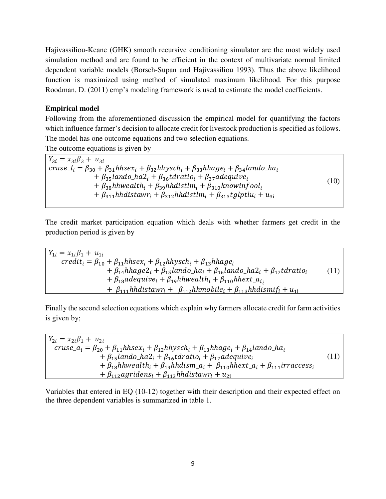Hajivassiliou-Keane (GHK) smooth recursive conditioning simulator are the most widely used simulation method and are found to be efficient in the context of multivariate normal limited dependent variable models (Borsch-Supan and Hajivassiliou 1993). Thus the above likelihood function is maximized using method of simulated maximum likelihood. For this purpose Roodman, D. (2011) cmp's modeling framework is used to estimate the model coefficients.

# **Empirical model**

Following from the aforementioned discussion the empirical model for quantifying the factors which influence farmer's decision to allocate credit for livestock production is specified as follows. The model has one outcome equations and two selection equations.

The outcome equations is given by

 $Y_{3i} = x_{3i}\beta_3 + u_{3i}$  $cruse_{i} = \beta_{30} + \beta_{31}hhsex_i + \beta_{32}hhysch_i + \beta_{33}hhage_i + \beta_{34}lando_1ha_i$ +  $\beta_{35}$ lando\_ha2<sub>i</sub> +  $\beta_{36}$ tdratio<sub>i</sub> +  $\beta_{37}$ adequive<sub>i</sub> +  $\beta_{38}$ hhwealth<sub>i</sub> +  $\beta_{39}$ hhdistlm<sub>i</sub> +  $\beta_{310}$ knowinfool<sub>i</sub>  $+ \beta_{311}$ hh distaw $r_i + \beta_{312}$ hh distl $m_i + \beta_{313}$ t gl $ptlu_i + u_{31}$ (10)

The credit market participation equation which deals with whether farmers get credit in the production period is given by

 $Y_{1i} = x_{1i}\beta_1 + u_{1i}$  $\text{credit}_i = \beta_{10} + \beta_{11}$ hhsex<sub>i</sub> +  $\beta_{12}$ hhysch<sub>i</sub> +  $\beta_{13}$ hhage<sub>i</sub>  $+ \beta_{14}$ hhage $2_i + \beta_{15}$ lando\_ha<sub>i</sub> +  $\beta_{16}$ lando\_ha $2_i + \beta_{17}$ tdratio<sub>i</sub> +  $\beta_{18}$ adequive<sub>i</sub> +  $\beta_{19}$ hhwealth<sub>i</sub> +  $\beta_{110}$ hhext\_a<sub>ii</sub> +  $\beta_{111}$ hhdistawr<sub>i</sub> +  $\beta_{112}$ hhmobile<sub>i</sub> +  $\beta_{113}$ hhdismif<sub>i</sub> +  $u_{1i}$ (11)

Finally the second selection equations which explain why farmers allocate credit for farm activities is given by;

 $Y_{2i} = x_{2i}\beta_1 + u_{2i}$ cruse\_ $a_l = \beta_{20} + \beta_{11}$ hhse $x_i + \beta_{12}$ hhysch<sub>i</sub> +  $\beta_{13}$ hhage<sub>i</sub> +  $\beta_{14}$ lando\_ha<sub>i</sub>  $+ \beta_{15}$ lando\_ha2<sub>i</sub> +  $\beta_{16}$ tdratio<sub>i</sub> +  $\beta_{17}$ adequive<sub>i</sub> +  $\beta_{18}$ hhwealth<sub>i</sub> +  $\beta_{19}$ hhdism\_a<sub>i</sub> +  $\beta_{110}$ hhext\_a<sub>i</sub> +  $\beta_{111}$ irraccess<sub>i</sub>  $+ \beta_{112}$ agridens<sub>i</sub> +  $\beta_{113}$ hhdistawr<sub>i</sub> +  $u_{21}$ (11)

Variables that entered in EQ (10-12) together with their description and their expected effect on the three dependent variables is summarized in table 1.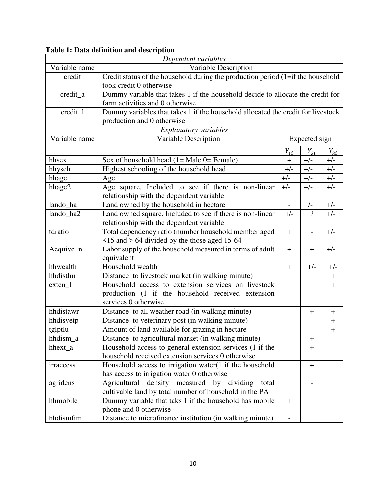| Dependent variables     |                                                                                  |                          |                  |             |  |  |  |  |
|-------------------------|----------------------------------------------------------------------------------|--------------------------|------------------|-------------|--|--|--|--|
| Variable name           | Variable Description                                                             |                          |                  |             |  |  |  |  |
| credit                  | Credit status of the household during the production period (1=if the household  |                          |                  |             |  |  |  |  |
| took credit 0 otherwise |                                                                                  |                          |                  |             |  |  |  |  |
| credit_a                | Dummy variable that takes 1 if the household decide to allocate the credit for   |                          |                  |             |  |  |  |  |
|                         | farm activities and 0 otherwise                                                  |                          |                  |             |  |  |  |  |
| credit_1                | Dummy variables that takes 1 if the household allocated the credit for livestock |                          |                  |             |  |  |  |  |
|                         | production and 0 otherwise                                                       |                          |                  |             |  |  |  |  |
|                         | Explanatory variables                                                            |                          |                  |             |  |  |  |  |
| Variable name           | Variable Description                                                             |                          | Expected sign    |             |  |  |  |  |
|                         |                                                                                  | $Y_{1i}$                 | $Y_{2i}$         | $Y_{3i}$    |  |  |  |  |
| hhsex                   | Sex of household head $(1 = Male 0 = Female)$                                    | $+$                      | $+/-$            | $+/-$       |  |  |  |  |
| hhysch                  | Highest schooling of the household head                                          | $+/-$                    | $+/-$            | $+/-$       |  |  |  |  |
| hhage                   | Age                                                                              | $+/-$                    | $+/-$            | $+/-$       |  |  |  |  |
| hhage2                  | Age square. Included to see if there is non-linear                               | $+/-$                    | $+/-$            | $+/-$       |  |  |  |  |
|                         | relationship with the dependent variable                                         |                          |                  |             |  |  |  |  |
| lando_ha                | Land owned by the household in hectare                                           | $\overline{a}$           | $+/-$            | $+/-$       |  |  |  |  |
| lando ha2               | Land owned square. Included to see if there is non-linear                        | $+/-$                    | $\gamma$         | $+/-$       |  |  |  |  |
|                         | relationship with the dependent variable                                         |                          |                  |             |  |  |  |  |
| tdratio                 | Total dependency ratio (number household member aged                             | $+$                      |                  | $+/-$       |  |  |  |  |
|                         | $\le$ 15 and > 64 divided by the those aged 15-64                                |                          |                  |             |  |  |  |  |
| Aequive_n               | Labor supply of the household measured in terms of adult                         | $+$                      | $+$              | $+/-$       |  |  |  |  |
|                         | equivalent                                                                       |                          |                  |             |  |  |  |  |
| hhwealth                | Household wealth                                                                 | $+$                      | $+/-$            | $+/-$       |  |  |  |  |
| hhdistlm                | Distance to livestock market (in walking minute)                                 |                          |                  | $\ddag$     |  |  |  |  |
| $exten_1$               | Household access to extension services on livestock                              |                          |                  | $\pm$       |  |  |  |  |
|                         | production (1 if the household received extension                                |                          |                  |             |  |  |  |  |
|                         | services 0 otherwise                                                             |                          |                  |             |  |  |  |  |
| hhdistawr               | Distance to all weather road (in walking minute)                                 |                          | $\boldsymbol{+}$ | $\mathbf +$ |  |  |  |  |
| hhdisvetp               | Distance to veterinary post (in walking minute)                                  |                          |                  | $\ddag$     |  |  |  |  |
| tglptlu                 | Amount of land available for grazing in hectare                                  |                          |                  | $\ddot{}$   |  |  |  |  |
| hhdism_a                | Distance to agricultural market (in walking minute)                              |                          | $\boldsymbol{+}$ |             |  |  |  |  |
| hhext a                 | Household access to general extension services (1 if the                         |                          | $\pm$            |             |  |  |  |  |
|                         | household received extension services 0 otherwise                                |                          |                  |             |  |  |  |  |
| irraccess               | Household access to irrigation water $(1$ if the household                       |                          | $\pm$            |             |  |  |  |  |
|                         | has access to irrigation water 0 otherwise                                       |                          |                  |             |  |  |  |  |
| agridens                | measured by dividing<br>Agricultural density<br>total                            |                          |                  |             |  |  |  |  |
|                         | cultivable land by total number of household in the PA                           |                          |                  |             |  |  |  |  |
| hhmobile                | Dummy variable that taks 1 if the household has mobile                           | $+$                      |                  |             |  |  |  |  |
|                         | phone and 0 otherwise                                                            |                          |                  |             |  |  |  |  |
| hhdismfim               | Distance to microfinance institution (in walking minute)                         | $\overline{\phantom{0}}$ |                  |             |  |  |  |  |

# **Table 1: Data definition and description**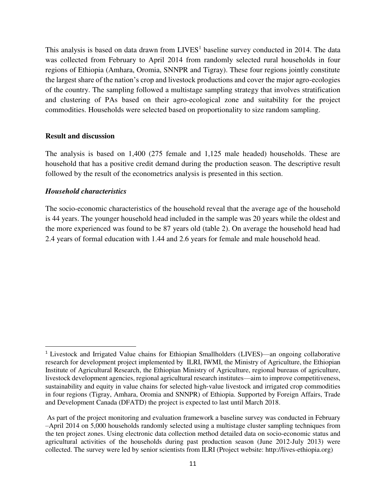This analysis is based on data drawn from  $LIVES<sup>1</sup>$  baseline survey conducted in 2014. The data was collected from February to April 2014 from randomly selected rural households in four regions of Ethiopia (Amhara, Oromia, SNNPR and Tigray). These four regions jointly constitute the largest share of the nation's crop and livestock productions and cover the major agro-ecologies of the country. The sampling followed a multistage sampling strategy that involves stratification and clustering of PAs based on their agro-ecological zone and suitability for the project commodities. Households were selected based on proportionality to size random sampling.

#### **Result and discussion**

The analysis is based on 1,400 (275 female and 1,125 male headed) households. These are household that has a positive credit demand during the production season. The descriptive result followed by the result of the econometrics analysis is presented in this section.

#### *Household characteristics*

l

The socio-economic characteristics of the household reveal that the average age of the household is 44 years. The younger household head included in the sample was 20 years while the oldest and the more experienced was found to be 87 years old (table 2). On average the household head had 2.4 years of formal education with 1.44 and 2.6 years for female and male household head.

<sup>&</sup>lt;sup>1</sup> Livestock and Irrigated Value chains for Ethiopian Smallholders (LIVES)—an ongoing collaborative research for development project implemented by ILRI, IWMI, the Ministry of Agriculture, the Ethiopian Institute of Agricultural Research, the Ethiopian Ministry of Agriculture, regional bureaus of agriculture, livestock development agencies, regional agricultural research institutes—aim to improve competitiveness, sustainability and equity in value chains for selected high-value livestock and irrigated crop commodities in four regions (Tigray, Amhara, Oromia and SNNPR) of Ethiopia. Supported by Foreign Affairs, Trade and Development Canada (DFATD) the project is expected to last until March 2018.

As part of the project monitoring and evaluation framework a baseline survey was conducted in February –April 2014 on 5,000 households randomly selected using a multistage cluster sampling techniques from the ten project zones. Using electronic data collection method detailed data on socio-economic status and agricultural activities of the households during past production season (June 2012-July 2013) were collected. The survey were led by senior scientists from ILRI (Project website: http://lives-ethiopia.org)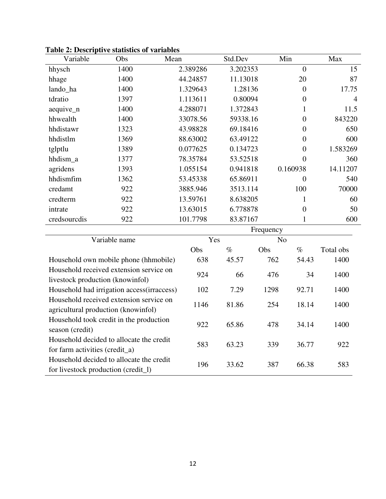| Variable                                | Obs                                        | Mean     | Std.Dev  |                | Min            | Max            |  |
|-----------------------------------------|--------------------------------------------|----------|----------|----------------|----------------|----------------|--|
| hhysch                                  | 1400                                       | 2.389286 | 3.202353 |                | $\overline{0}$ | 15             |  |
| hhage                                   | 1400                                       | 44.24857 | 11.13018 |                | 20             | 87             |  |
| lando_ha                                | 1400                                       | 1.329643 | 1.28136  |                | $\overline{0}$ | 17.75          |  |
| tdratio                                 | 1397                                       | 1.113611 | 0.80094  |                | $\overline{0}$ | $\overline{4}$ |  |
| aequive_n                               | 1400                                       | 4.288071 | 1.372843 |                | $\mathbf{1}$   | 11.5           |  |
| hhwealth                                | 1400                                       | 33078.56 | 59338.16 |                | $\overline{0}$ | 843220         |  |
| hhdistawr                               | 1323                                       | 43.98828 | 69.18416 |                | $\overline{0}$ | 650            |  |
| hhdistlm                                | 1369                                       | 88.63002 | 63.49122 |                | $\overline{0}$ | 600            |  |
| tglptlu                                 | 1389                                       | 0.077625 | 0.134723 |                | $\overline{0}$ | 1.583269       |  |
| hhdism_a                                | 1377                                       | 78.35784 | 53.52518 |                | $\overline{0}$ | 360            |  |
| agridens                                | 1393                                       | 1.055154 | 0.941818 |                | 0.160938       | 14.11207       |  |
| hhdismfim                               | 1362                                       | 53.45338 | 65.86911 |                | $\overline{0}$ | 540            |  |
| credamt                                 | 922                                        | 3885.946 | 3513.114 |                | 100            | 70000          |  |
| credterm                                | 922                                        | 13.59761 | 8.638205 |                | 1              | 60             |  |
| intrate                                 | 922                                        | 13.63015 | 6.778878 |                | $\overline{0}$ | 50             |  |
| credsourcdis                            | 922                                        | 101.7798 | 83.87167 |                | 1              | 600            |  |
|                                         |                                            |          |          | Frequency      |                |                |  |
|                                         | Variable name                              |          | Yes      | N <sub>o</sub> |                |                |  |
|                                         |                                            | Obs      | $\%$     | Obs            | $\%$           | Total obs      |  |
|                                         | Household own mobile phone (hhmobile)      | 638      | 45.57    | 762            | 54.43          | 1400           |  |
| livestock production (knowinfol)        | Household received extension service on    | 924      | 66       | 476            | 34             | 1400           |  |
|                                         | Household had irrigation access(irraccess) | 102      | 7.29     | 1298           | 92.71          | 1400           |  |
|                                         | Household received extension service on    |          |          |                |                |                |  |
|                                         | agricultural production (knowinfol)        | 1146     | 81.86    | 254            | 18.14          | 1400           |  |
| Household took credit in the production |                                            | 922      | 65.86    | 478            | 34.14          | 1400           |  |
| season (credit)                         |                                            |          |          |                |                |                |  |
|                                         | Household decided to allocate the credit   | 583      | 63.23    | 339            | 36.77          | 922            |  |
| for farm activities (credit_a)          | Household decided to allocate the credit   |          |          |                |                |                |  |
| for livestock production (credit_l)     |                                            | 196      | 33.62    | 387            | 66.38          | 583            |  |

**Table 2: Descriptive statistics of variables**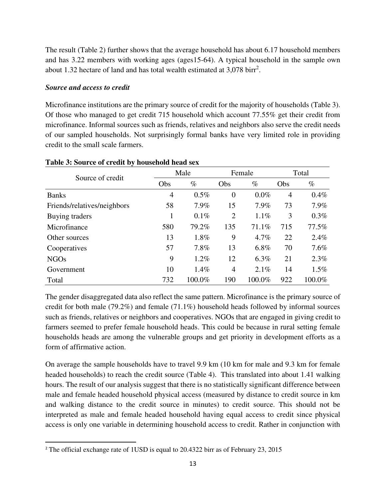The result (Table 2) further shows that the average household has about 6.17 household members and has 3.22 members with working ages (ages15-64). A typical household in the sample own about 1.32 hectare of land and has total wealth estimated at  $3,078$  birr<sup>2</sup>.

## *Source and access to credit*

l

Microfinance institutions are the primary source of credit for the majority of households (Table 3). Of those who managed to get credit 715 household which account 77.55% get their credit from microfinance. Informal sources such as friends, relatives and neighbors also serve the credit needs of our sampled households. Not surprisingly formal banks have very limited role in providing credit to the small scale farmers.

| Source of credit            |     | Male      |                | Female  |     | Total   |
|-----------------------------|-----|-----------|----------------|---------|-----|---------|
|                             | Obs | $\%$      | Obs            | $\%$    | Obs | $\%$    |
| <b>Banks</b>                | 4   | $0.5\%$   | $\theta$       | $0.0\%$ | 4   | $0.4\%$ |
| Friends/relatives/neighbors | 58  | 7.9%      | 15             | 7.9%    | 73  | 7.9%    |
| Buying traders              |     | 0.1%      | $\overline{2}$ | $1.1\%$ | 3   | $0.3\%$ |
| Microfinance                | 580 | 79.2%     | 135            | 71.1%   | 715 | 77.5%   |
| Other sources               | 13  | 1.8%      | 9              | 4.7%    | 22  | 2.4%    |
| Cooperatives                | 57  | 7.8%      | 13             | 6.8%    | 70  | 7.6%    |
| <b>NGOs</b>                 | 9   | 1.2%      | 12             | 6.3%    | 21  | 2.3%    |
| Government                  | 10  | $1.4\%$   | $\overline{4}$ | 2.1%    | 14  | 1.5%    |
| Total                       | 732 | $100.0\%$ | 190            | 100.0%  | 922 | 100.0%  |

#### **Table 3: Source of credit by household head sex**

The gender disaggregated data also reflect the same pattern. Microfinance is the primary source of credit for both male (79.2%) and female (71.1%) household heads followed by informal sources such as friends, relatives or neighbors and cooperatives. NGOs that are engaged in giving credit to farmers seemed to prefer female household heads. This could be because in rural setting female households heads are among the vulnerable groups and get priority in development efforts as a form of affirmative action.

On average the sample households have to travel 9.9 km (10 km for male and 9.3 km for female headed households) to reach the credit source (Table 4). This translated into about 1.41 walking hours. The result of our analysis suggest that there is no statistically significant difference between male and female headed household physical access (measured by distance to credit source in km and walking distance to the credit source in minutes) to credit source. This should not be interpreted as male and female headed household having equal access to credit since physical access is only one variable in determining household access to credit. Rather in conjunction with

<sup>&</sup>lt;sup>2</sup> The official exchange rate of 1USD is equal to 20.4322 birr as of February 23, 2015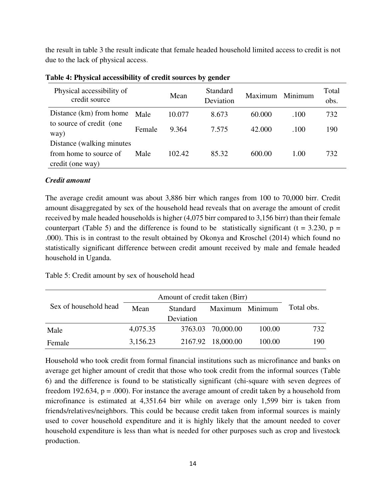the result in table 3 the result indicate that female headed household limited access to credit is not due to the lack of physical access.

| Physical accessibility of<br>credit source |        | Mean   | Standard<br>Deviation | Maximum | Minimum | Total<br>obs. |
|--------------------------------------------|--------|--------|-----------------------|---------|---------|---------------|
| Distance (km) from home                    | Male   | 10.077 | 8.673                 | 60.000  | .100    | 732           |
| to source of credit (one<br>way)           | Female | 9.364  | 7.575                 | 42.000  | .100    | 190           |
| Distance (walking minutes)                 |        |        |                       |         |         |               |
| from home to source of                     | Male   | 102.42 | 85.32                 | 600.00  | 1.00    | 732           |
| credit (one way)                           |        |        |                       |         |         |               |

**Table 4: Physical accessibility of credit sources by gender** 

## *Credit amount*

The average credit amount was about 3,886 birr which ranges from 100 to 70,000 birr. Credit amount disaggregated by sex of the household head reveals that on average the amount of credit received by male headed households is higher (4,075 birr compared to 3,156 birr) than their female counterpart (Table 5) and the difference is found to be statistically significant ( $t = 3.230$ ,  $p =$ .000). This is in contrast to the result obtained by Okonya and Kroschel (2014) which found no statistically significant difference between credit amount received by male and female headed household in Uganda.

Table 5: Credit amount by sex of household head

|                       | Amount of credit taken (Birr) |                 |                   |        |            |
|-----------------------|-------------------------------|-----------------|-------------------|--------|------------|
| Sex of household head | Mean                          | <b>Standard</b> | Maximum Minimum   |        | Total obs. |
|                       |                               | Deviation       |                   |        |            |
| Male                  | 4,075.35                      |                 | 3763.03 70,000.00 | 100.00 | 732        |
| Female                | 3,156.23                      | 2167.92         | 18,000.00         | 100.00 | 190        |

Household who took credit from formal financial institutions such as microfinance and banks on average get higher amount of credit that those who took credit from the informal sources (Table 6) and the difference is found to be statistically significant (chi-square with seven degrees of freedom 192.634,  $p = .000$ . For instance the average amount of credit taken by a household from microfinance is estimated at 4,351.64 birr while on average only 1,599 birr is taken from friends/relatives/neighbors. This could be because credit taken from informal sources is mainly used to cover household expenditure and it is highly likely that the amount needed to cover household expenditure is less than what is needed for other purposes such as crop and livestock production.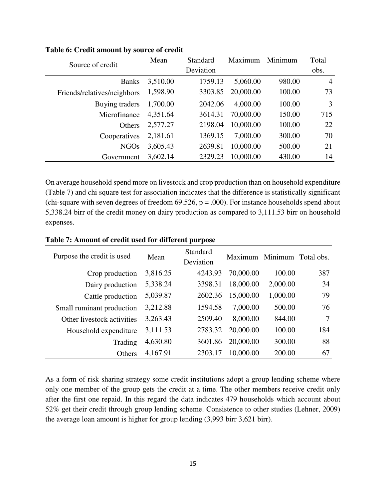| Source of credit            | Mean     | <b>Standard</b> | Maximum   | Minimum | Total          |
|-----------------------------|----------|-----------------|-----------|---------|----------------|
|                             |          | Deviation       |           |         | obs.           |
| <b>Banks</b>                | 3,510.00 | 1759.13         | 5,060.00  | 980.00  | $\overline{4}$ |
| Friends/relatives/neighbors | 1,598.90 | 3303.85         | 20,000.00 | 100.00  | 73             |
| Buying traders              | 1,700.00 | 2042.06         | 4,000.00  | 100.00  | 3              |
| Microfinance                | 4,351.64 | 3614.31         | 70,000.00 | 150.00  | 715            |
| Others                      | 2,577.27 | 2198.04         | 10,000.00 | 100.00  | 22             |
| Cooperatives                | 2,181.61 | 1369.15         | 7,000.00  | 300.00  | 70             |
| NGOs                        | 3,605.43 | 2639.81         | 10,000.00 | 500.00  | 21             |
| Government                  | 3,602.14 | 2329.23         | 10,000.00 | 430.00  | 14             |

**Table 6: Credit amount by source of credit** 

On average household spend more on livestock and crop production than on household expenditure (Table 7) and chi square test for association indicates that the difference is statistically significant (chi-square with seven degrees of freedom  $69.526$ ,  $p = .000$ ). For instance households spend about 5,338.24 birr of the credit money on dairy production as compared to 3,111.53 birr on household expenses.

| Purpose the credit is used | Mean     | Standard<br>Deviation |           | Maximum Minimum Total obs. |     |
|----------------------------|----------|-----------------------|-----------|----------------------------|-----|
| Crop production            | 3,816.25 | 4243.93               | 70,000.00 | 100.00                     | 387 |
| Dairy production           | 5,338.24 | 3398.31               | 18,000.00 | 2,000.00                   | 34  |
| Cattle production          | 5,039.87 | 2602.36               | 15,000.00 | 1,000.00                   | 79  |
| Small ruminant production  | 3,212.88 | 1594.58               | 7,000.00  | 500.00                     | 76  |
| Other livestock activities | 3,263.43 | 2509.40               | 8,000.00  | 844.00                     | 7   |
| Household expenditure      | 3,111.53 | 2783.32               | 20,000.00 | 100.00                     | 184 |
| Trading                    | 4,630.80 | 3601.86               | 20,000.00 | 300.00                     | 88  |
| Others                     | 4,167.91 | 2303.17               | 10,000.00 | 200.00                     | 67  |

**Table 7: Amount of credit used for different purpose** 

As a form of risk sharing strategy some credit institutions adopt a group lending scheme where only one member of the group gets the credit at a time. The other members receive credit only after the first one repaid. In this regard the data indicates 479 households which account about 52% get their credit through group lending scheme. Consistence to other studies (Lehner, 2009) the average loan amount is higher for group lending (3,993 birr 3,621 birr).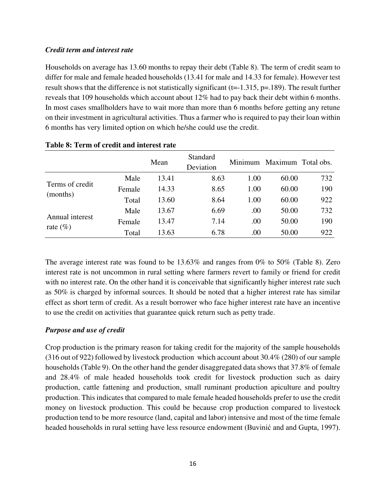# *Credit term and interest rate*

Households on average has 13.60 months to repay their debt (Table 8). The term of credit seam to differ for male and female headed households (13.41 for male and 14.33 for female). However test result shows that the difference is not statistically significant  $(t=1.315, p=.189)$ . The result further reveals that 109 households which account about 12% had to pay back their debt within 6 months. In most cases smallholders have to wait more than more than 6 months before getting any retune on their investment in agricultural activities. Thus a farmer who is required to pay their loan within 6 months has very limited option on which he/she could use the credit.

|                                |        | Mean  | Standard<br>Deviation | Minimum | Maximum Total obs. |     |
|--------------------------------|--------|-------|-----------------------|---------|--------------------|-----|
|                                | Male   | 13.41 | 8.63                  | 1.00    | 60.00              | 732 |
| Terms of credit                | Female | 14.33 | 8.65                  | 1.00    | 60.00              | 190 |
| (months)                       | Total  | 13.60 | 8.64                  | 1.00    | 60.00              | 922 |
|                                | Male   | 13.67 | 6.69                  | .00     | 50.00              | 732 |
| Annual interest<br>rate $(\%)$ | Female | 13.47 | 7.14                  | .00     | 50.00              | 190 |
|                                | Total  | 13.63 | 6.78                  | .00     | 50.00              | 922 |

## **Table 8: Term of credit and interest rate**

The average interest rate was found to be 13.63% and ranges from 0% to 50% (Table 8). Zero interest rate is not uncommon in rural setting where farmers revert to family or friend for credit with no interest rate. On the other hand it is conceivable that significantly higher interest rate such as 50% is charged by informal sources. It should be noted that a higher interest rate has similar effect as short term of credit. As a result borrower who face higher interest rate have an incentive to use the credit on activities that guarantee quick return such as petty trade.

# *Purpose and use of credit*

Crop production is the primary reason for taking credit for the majority of the sample households (316 out of 922) followed by livestock production which account about 30.4% (280) of our sample households (Table 9). On the other hand the gender disaggregated data shows that 37.8% of female and 28.4% of male headed households took credit for livestock production such as dairy production, cattle fattening and production, small ruminant production apiculture and poultry production. This indicates that compared to male female headed households prefer to use the credit money on livestock production. This could be because crop production compared to livestock production tend to be more resource (land, capital and labor) intensive and most of the time female headed households in rural setting have less resource endowment (Buvinić and and Gupta, 1997).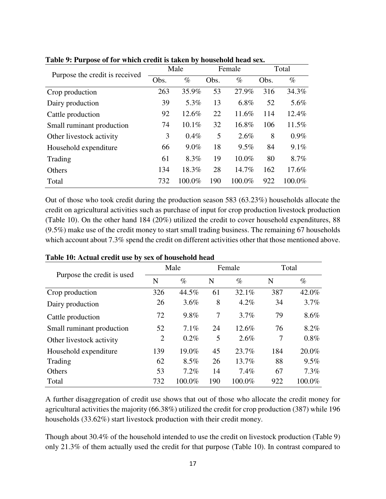|                                | Male |         | Female |          | Total |         |
|--------------------------------|------|---------|--------|----------|-------|---------|
| Purpose the credit is received | Obs. | $\%$    | Obs.   | $\%$     | Obs.  | $\%$    |
| Crop production                | 263  | 35.9%   | 53     | 27.9%    | 316   | 34.3%   |
| Dairy production               | 39   | 5.3%    | 13     | 6.8%     | 52    | 5.6%    |
| Cattle production              | 92   | 12.6%   | 22     | 11.6%    | 114   | 12.4%   |
| Small ruminant production      | 74   | 10.1%   | 32     | 16.8%    | 106   | 11.5%   |
| Other livestock activity       | 3    | $0.4\%$ | 5      | 2.6%     | 8     | $0.9\%$ |
| Household expenditure          | 66   | $9.0\%$ | 18     | 9.5%     | 84    | 9.1%    |
| Trading                        | 61   | 8.3%    | 19     | $10.0\%$ | 80    | 8.7%    |
| Others                         | 134  | 18.3%   | 28     | 14.7%    | 162   | 17.6%   |
| Total                          | 732  | 100.0%  | 190    | 100.0%   | 922   | 100.0%  |

**Table 9: Purpose of for which credit is taken by household head sex.** 

Out of those who took credit during the production season 583 (63.23%) households allocate the credit on agricultural activities such as purchase of input for crop production livestock production (Table 10). On the other hand 184 (20%) utilized the credit to cover household expenditures, 88 (9.5%) make use of the credit money to start small trading business. The remaining 67 households which account about 7.3% spend the credit on different activities other that those mentioned above.

|                            | Male |         | Female |           | Total |         |
|----------------------------|------|---------|--------|-----------|-------|---------|
| Purpose the credit is used | N    | $\%$    | N      | $\%$      | N     | $\%$    |
| Crop production            | 326  | 44.5%   | 61     | 32.1%     | 387   | 42.0%   |
| Dairy production           | 26   | $3.6\%$ | 8      | 4.2%      | 34    | 3.7%    |
| Cattle production          | 72   | 9.8%    | 7      | 3.7%      | 79    | 8.6%    |
| Small ruminant production  | 52   | 7.1%    | 24     | 12.6%     | 76    | 8.2%    |
| Other livestock activity   | 2    | $0.2\%$ | 5      | 2.6%      | 7     | $0.8\%$ |
| Household expenditure      | 139  | 19.0%   | 45     | 23.7%     | 184   | 20.0%   |
| Trading                    | 62   | $8.5\%$ | 26     | 13.7%     | 88    | $9.5\%$ |
| Others                     | 53   | $7.2\%$ | 14     | $7.4\%$   | 67    | 7.3%    |
| Total                      | 732  | 100.0%  | 190    | $100.0\%$ | 922   | 100.0%  |

#### **Table 10: Actual credit use by sex of household head**

A further disaggregation of credit use shows that out of those who allocate the credit money for agricultural activities the majority (66.38%) utilized the credit for crop production (387) while 196 households (33.62%) start livestock production with their credit money.

Though about 30.4% of the household intended to use the credit on livestock production (Table 9) only 21.3% of them actually used the credit for that purpose (Table 10). In contrast compared to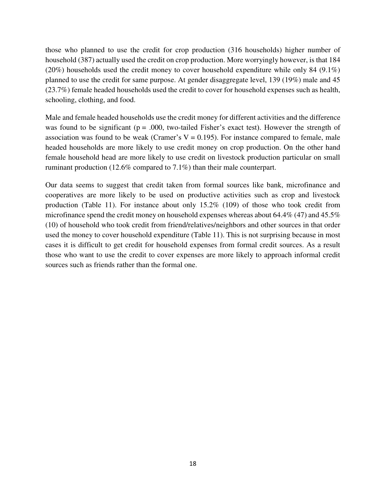those who planned to use the credit for crop production (316 households) higher number of household (387) actually used the credit on crop production. More worryingly however, is that 184 (20%) households used the credit money to cover household expenditure while only 84 (9.1%) planned to use the credit for same purpose. At gender disaggregate level, 139 (19%) male and 45 (23.7%) female headed households used the credit to cover for household expenses such as health, schooling, clothing, and food.

Male and female headed households use the credit money for different activities and the difference was found to be significant ( $p = .000$ , two-tailed Fisher's exact test). However the strength of association was found to be weak (Cramer's  $V = 0.195$ ). For instance compared to female, male headed households are more likely to use credit money on crop production. On the other hand female household head are more likely to use credit on livestock production particular on small ruminant production (12.6% compared to 7.1%) than their male counterpart.

Our data seems to suggest that credit taken from formal sources like bank, microfinance and cooperatives are more likely to be used on productive activities such as crop and livestock production (Table 11). For instance about only 15.2% (109) of those who took credit from microfinance spend the credit money on household expenses whereas about 64.4% (47) and 45.5% (10) of household who took credit from friend/relatives/neighbors and other sources in that order used the money to cover household expenditure (Table 11). This is not surprising because in most cases it is difficult to get credit for household expenses from formal credit sources. As a result those who want to use the credit to cover expenses are more likely to approach informal credit sources such as friends rather than the formal one.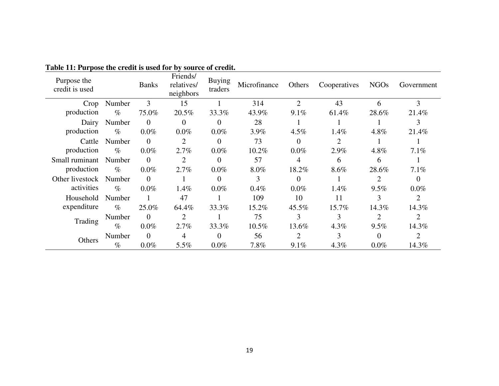| Purpose the<br>credit is used |        | <b>Banks</b>   | Friends/<br>relatives/<br>neighbors | <b>Buying</b><br>traders | Microfinance | Others         | Cooperatives | <b>NGOs</b> | Government |
|-------------------------------|--------|----------------|-------------------------------------|--------------------------|--------------|----------------|--------------|-------------|------------|
| Crop                          | Number | 3              | 15                                  |                          | 314          | $\overline{2}$ | 43           | 6           | 3          |
| production                    | $\%$   | 75.0%          | 20.5%                               | 33.3%                    | 43.9%        | 9.1%           | 61.4%        | 28.6%       | 21.4%      |
| Dairy                         | Number | $\overline{0}$ | $\overline{0}$                      | $\Omega$                 | 28           |                |              |             | 3          |
| production                    | $\%$   | $0.0\%$        | $0.0\%$                             | $0.0\%$                  | 3.9%         | $4.5\%$        | 1.4%         | 4.8%        | 21.4%      |
| Cattle                        | Number | $\theta$       | 2                                   | $\Omega$                 | 73           | $\Omega$       | 2            |             |            |
| production                    | $\%$   | $0.0\%$        | 2.7%                                | $0.0\%$                  | 10.2%        | $0.0\%$        | 2.9%         | 4.8%        | 7.1%       |
| Small ruminant                | Number | $\Omega$       | $\overline{2}$                      | $\Omega$                 | 57           | 4              | 6            | 6           |            |
| production                    | $\%$   | $0.0\%$        | 2.7%                                | $0.0\%$                  | $8.0\%$      | 18.2%          | 8.6%         | 28.6%       | 7.1%       |
| Other livestock               | Number | $\Omega$       |                                     | $\Omega$                 | 3            | $\Omega$       |              |             | 0          |
| activities                    | $\%$   | $0.0\%$        | 1.4%                                | $0.0\%$                  | $0.4\%$      | $0.0\%$        | 1.4%         | $9.5\%$     | $0.0\%$    |
| Household                     | Number |                | 47                                  |                          | 109          | 10             | 11           | 3           | 2          |
| expenditure                   | $\%$   | 25.0%          | 64.4%                               | 33.3%                    | 15.2%        | 45.5%          | $15.7\%$     | 14.3%       | 14.3%      |
| Trading                       | Number | $\theta$       | $\overline{2}$                      |                          | 75           | 3              | 3            |             | 2          |
|                               | $\%$   | $0.0\%$        | 2.7%                                | 33.3%                    | $10.5\%$     | 13.6%          | $4.3\%$      | $9.5\%$     | 14.3%      |
| Others                        | Number | $\Omega$       | 4                                   | $\Omega$                 | 56           |                | 3            |             | 2          |
|                               | $\%$   | $0.0\%$        | 5.5%                                | $0.0\%$                  | 7.8%         | $9.1\%$        | 4.3%         | $0.0\%$     | 14.3%      |

**Table 11: Purpose the credit is used for by source of credit.**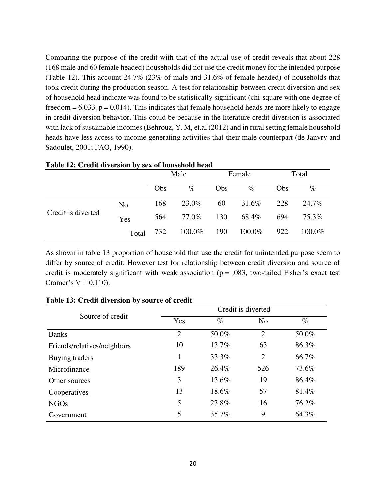Comparing the purpose of the credit with that of the actual use of credit reveals that about 228 (168 male and 60 female headed) households did not use the credit money for the intended purpose (Table 12). This account 24.7% (23% of male and 31.6% of female headed) of households that took credit during the production season. A test for relationship between credit diversion and sex of household head indicate was found to be statistically significant (chi-square with one degree of freedom  $= 6.033$ ,  $p = 0.014$ ). This indicates that female household heads are more likely to engage in credit diversion behavior. This could be because in the literature credit diversion is associated with lack of sustainable incomes (Behrouz, Y. M, et.al (2012) and in rural setting female household heads have less access to income generating activities that their male counterpart (de Janvry and Sadoulet, 2001; FAO, 1990).

| <b>Table 12: Credit diversion by sex of household head</b> |                |      |        |        |        |            |           |  |  |
|------------------------------------------------------------|----------------|------|--------|--------|--------|------------|-----------|--|--|
|                                                            |                | Male |        | Female |        | Total      |           |  |  |
|                                                            |                | Obs  | $\%$   | Obs    | $\%$   | <b>Obs</b> | $\%$      |  |  |
| Credit is diverted                                         | N <sub>o</sub> | 168  | 23.0%  | 60     | 31.6%  | 228        | 24.7%     |  |  |
|                                                            | Yes            | 564  | 77.0%  | 130    | 68.4%  | 694        | 75.3%     |  |  |
|                                                            | Total          | 732  | 100.0% | 190    | 100.0% | 922        | $100.0\%$ |  |  |

## **Table 12: Credit diversion by sex of household head**

As shown in table 13 proportion of household that use the credit for unintended purpose seem to differ by source of credit. However test for relationship between credit diversion and source of credit is moderately significant with weak association ( $p = .083$ , two-tailed Fisher's exact test Cramer's  $V = 0.110$ ).

|                             | Credit is diverted |       |                |       |  |  |  |
|-----------------------------|--------------------|-------|----------------|-------|--|--|--|
| Source of credit            | Yes                | $\%$  | N <sub>o</sub> | $\%$  |  |  |  |
| <b>Banks</b>                | $\overline{2}$     | 50.0% | $\overline{2}$ | 50.0% |  |  |  |
| Friends/relatives/neighbors | 10                 | 13.7% | 63             | 86.3% |  |  |  |
| Buying traders              | 1                  | 33.3% | $\overline{2}$ | 66.7% |  |  |  |
| Microfinance                | 189                | 26.4% | 526            | 73.6% |  |  |  |
| Other sources               | 3                  | 13.6% | 19             | 86.4% |  |  |  |
| Cooperatives                | 13                 | 18.6% | 57             | 81.4% |  |  |  |
| <b>NGOs</b>                 | 5                  | 23.8% | 16             | 76.2% |  |  |  |
| Government                  | 5                  | 35.7% | 9              | 64.3% |  |  |  |

#### **Table 13: Credit diversion by source of credit**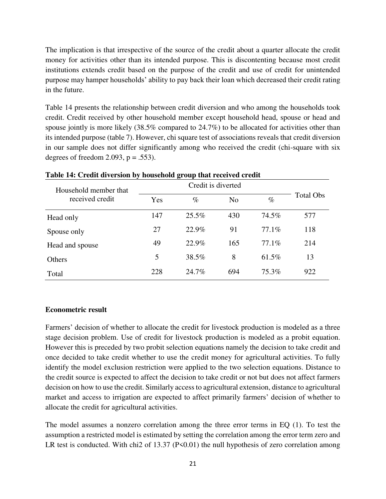The implication is that irrespective of the source of the credit about a quarter allocate the credit money for activities other than its intended purpose. This is discontenting because most credit institutions extends credit based on the purpose of the credit and use of credit for unintended purpose may hamper households' ability to pay back their loan which decreased their credit rating in the future.

Table 14 presents the relationship between credit diversion and who among the households took credit. Credit received by other household member except household head, spouse or head and spouse jointly is more likely (38.5% compared to 24.7%) to be allocated for activities other than its intended purpose (table 7). However, chi square test of associations reveals that credit diversion in our sample does not differ significantly among who received the credit (chi-square with six degrees of freedom 2.093,  $p = .553$ ).

| Household member that |     |       |                |        |           |
|-----------------------|-----|-------|----------------|--------|-----------|
| received credit       | Yes | $\%$  | N <sub>0</sub> | $\%$   | Total Obs |
| Head only             | 147 | 25.5% | 430            | 74.5%  | 577       |
| Spouse only           | 27  | 22.9% | 91             | 77.1\% | 118       |
| Head and spouse       | 49  | 22.9% | 165            | 77.1\% | 214       |
| Others                | 5   | 38.5% | 8              | 61.5%  | 13        |
| Total                 | 228 | 24.7% | 694            | 75.3%  | 922       |

#### **Table 14: Credit diversion by household group that received credit**

#### **Econometric result**

Farmers' decision of whether to allocate the credit for livestock production is modeled as a three stage decision problem. Use of credit for livestock production is modeled as a probit equation. However this is preceded by two probit selection equations namely the decision to take credit and once decided to take credit whether to use the credit money for agricultural activities. To fully identify the model exclusion restriction were applied to the two selection equations. Distance to the credit source is expected to affect the decision to take credit or not but does not affect farmers decision on how to use the credit. Similarly access to agricultural extension, distance to agricultural market and access to irrigation are expected to affect primarily farmers' decision of whether to allocate the credit for agricultural activities.

The model assumes a nonzero correlation among the three error terms in EQ (1). To test the assumption a restricted model is estimated by setting the correlation among the error term zero and LR test is conducted. With chi2 of  $13.37$  (P<0.01) the null hypothesis of zero correlation among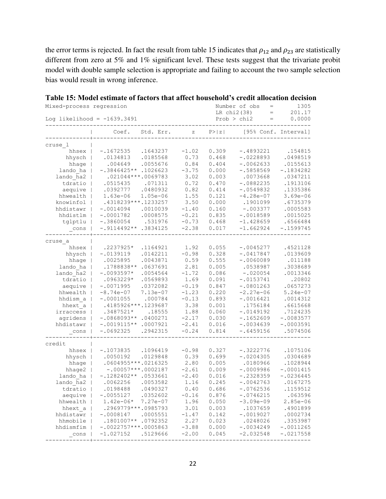the error terms is rejected. In fact the result from table 15 indicates that  $\rho_{12}$  and  $\rho_{23}$  are statistically different from zero at 5% and 1% significant level. These tests suggest that the trivariate probit model with double sample selection is appropriate and failing to account the two sample selection bias would result in wrong inference.

| Mixed-process regression      |                                               |                    |                 |                | Number of obs<br>$=$<br>1305<br>201.17<br>LR chi2(38)<br>$=$ |                         |  |  |
|-------------------------------|-----------------------------------------------|--------------------|-----------------|----------------|--------------------------------------------------------------|-------------------------|--|--|
| Log likelihood = $-1639.3491$ |                                               |                    |                 |                | Prob > chi2<br>$\quad =$                                     | 0.0000                  |  |  |
|                               | Coef.                                         | Std. Err.          | Ζ               | P >  z         | [95% Conf. Interval]                                         |                         |  |  |
| cruse 1                       |                                               |                    |                 |                |                                                              |                         |  |  |
| hhsex                         | $-.1672535$                                   | .1643237           | $-1.02$         | 0.309          | $-.4893221$                                                  | .154815                 |  |  |
| hhysch                        | .0134813                                      | .0185568           | 0.73            | 0.468          | $-.0228893$                                                  | .0498519                |  |  |
| hhage                         | .004649                                       | .0055676           | 0.84            | 0.404          | $-.0062633$                                                  | .0155613                |  |  |
| lando ha                      | $-.3846425**$                                 | .1026623           | $-3.75$         | 0.000          | $-.5858569$                                                  | $-.1834282$             |  |  |
| lando ha2                     | .021044 ***.0069783                           |                    | 3.02            | 0.003          | .0073668                                                     | .0347211                |  |  |
| tdratio                       | .0515435                                      | .071311            | 0.72            | 0.470          | $-.0882235$                                                  | .1913106                |  |  |
| aequive                       | .0392777                                      | .0480932           | 0.82            | 0.414          | $-.0549832$                                                  | .1335386                |  |  |
| hhwealth                      | $1.63e-06$                                    | $1.05e-06$         | 1.55            | 0.121          | $-4.28e-07$                                                  | $3.69e - 06$            |  |  |
| knowinfol                     | .4318239 ***. 1233257                         |                    | 3.50            | 0.000          | .1901099                                                     | .6735379                |  |  |
| hhdistawr                     | $-.0014094$                                   | .0010039           | $-1.40$         | 0.160          | $-.003377$                                                   | .0005583                |  |  |
| hhdistlm                      | $-.0001782$                                   | .0008575           | $-0.21$         | 0.835          | $-.0018589$                                                  | .0015025                |  |  |
| tglptlu                       | $-.3860054$                                   | .531976            | $-0.73$         | 0.468          | $-1.428659$                                                  | .6566484                |  |  |
| cons                          | $-.9114492**$                                 | .3834125           | $-2.38$         | 0.017          | $-1.662924$                                                  | $-.1599745$             |  |  |
| cruse a                       |                                               |                    |                 |                |                                                              |                         |  |  |
| hhsex                         | .2237925*                                     | .1164921           | 1.92            | 0.055          | $-.0045277$                                                  | .4521128                |  |  |
| hhysch                        | $-.0139119$                                   | .0142211           | $-0.98$         | 0.328          | $-.0417847$                                                  | .0139609                |  |  |
| hhage                         | .0025895                                      | .0043871           | 0.59            | 0.555          | $-.0060089$                                                  | .011188                 |  |  |
| lando ha                      | .1788838**                                    | .0637691           | 2.81            | 0.005          | .0538987                                                     | .3038689                |  |  |
| lando ha2                     | $-.0093597*$                                  | .0054564           | $-1.72$         | 0.086          | $-.020054$                                                   | .0013346                |  |  |
| tdratio                       | $.0963229*$                                   | .0569893           | 1.69            | 0.091          | $-.0153741$                                                  | .20802                  |  |  |
| aequive                       | $-.0071995$                                   | .0372082           | $-0.19$         | 0.847          | $-.0801263$                                                  | .0657273                |  |  |
| hhwealth                      | $-8.74e-07$                                   | 7.13e-07           | $-1.23$         | 0.220          | $-2.27e-06$                                                  | $5.24e-07$              |  |  |
| hhdism a                      | $-.0001055$                                   | .000784            | $-0.13$         | 0.893          | $-.0016421$                                                  | .0014312                |  |  |
| hhext $a$                     | .4185926 *** .1239687                         |                    | 3.38            | 0.001          | .1756184                                                     | .6615668                |  |  |
| irraccess                     | .3487521*<br>$-.0868093**$                    | .18555<br>.0400271 | 1.88<br>$-2.17$ | 0.060<br>0.030 | $-.0149192$<br>$-.1652609$                                   | .7124235<br>$-.0083577$ |  |  |
| agridens  <br>hhdistawr       | $-.0019115**$                                 | .0007921           | $-2.41$         | 0.016          | $-.0034639$                                                  | $-.0003591$             |  |  |
| cons                          | $-.0692325$                                   | .2942315           | $-0.24$         | 0.814          | $-.6459156$                                                  | .5074506                |  |  |
|                               |                                               |                    |                 |                |                                                              |                         |  |  |
| credit                        |                                               |                    |                 |                |                                                              |                         |  |  |
| hhsex                         | $-.1073835$                                   | .1096419           | $-0.98$         | 0.327          | $-.3222776$                                                  | .1075106                |  |  |
| hhysch                        | .0050192                                      | .0129848           | 0.39            | 0.699          | $-.0204305$                                                  | .0304689                |  |  |
| hhage  <br>hhaqe $2$          | $.0604955***.0216325$<br>$-.00057***.0002187$ |                    | 2.80<br>$-2.61$ | 0.005<br>0.009 | .0180966<br>$-.0009986$                                      | .1028944<br>$-.0001415$ |  |  |
| lando ha                      | $-.1282402**$                                 | .0533661           | $-2.40$         | 0.016          | $-.2328359$                                                  | $-.0236445$             |  |  |
| lando ha2                     | .0062256                                      | .0053582           | 1.16            | 0.245          | $-.0042763$                                                  | .0167275                |  |  |
| tdratio                       | .0198488                                      | .0490327           | 0.40            | 0.686          | $-.0762536$                                                  | .1159512                |  |  |
| aequive                       | $-.0055127$                                   | .0352602           | $-0.16$         | 0.876          | $-.0746215$                                                  | .063596                 |  |  |
| hhwealth                      | $1.42e-06*$                                   | 7.27e-07           | 1.96            | 0.050          | $-3.09e - 09$                                                | $2.85e-06$              |  |  |
| hhext a                       | .2969779***.0985793                           |                    | 3.01            | 0.003          | .1037659                                                     | .4901899                |  |  |
| hhdistawr                     | $-.0008147$                                   | .0005551           | $-1.47$         | 0.142          | $-.0019027$                                                  | .0002734                |  |  |
| hhmobile                      | .1801007**                                    | .0792352           | 2.27            | 0.023          | .0248026                                                     | .3353987                |  |  |
| hhdismfim                     | $-.0022757***.0005863$                        |                    | $-3.88$         | 0.000          | $-.0034249$                                                  | $-.0011265$             |  |  |
| cons                          | $-1.027152$                                   | .5129666           | $-2.00$         | 0.045          | $-2.032548$                                                  | $-.0217558$             |  |  |
|                               |                                               |                    |                 |                |                                                              |                         |  |  |

**Table 15: Model estimate of factors that affect household's credit allocation decision**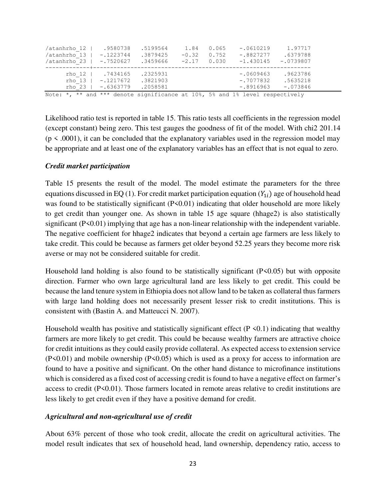| /atanhrho 12  <br>/atanhrho 13  <br>/atanhrho 23                             | .9580738<br>$-.1223744$<br>$-.7520627$                           | .5199564<br>.3879425<br>.3459666 | 1.84<br>$-0.32$<br>$-2.17$ | 0.065<br>0.752<br>0.030 | $-.0610219$<br>$-.8827277$<br>$-1.430145$ | 1.97717<br>.6379788<br>$-.0739807$ |  |
|------------------------------------------------------------------------------|------------------------------------------------------------------|----------------------------------|----------------------------|-------------------------|-------------------------------------------|------------------------------------|--|
|                                                                              | rho 12   .7434165<br>rho 13   -.1217672<br>$rho 23   -0.6363779$ | .2325931<br>.3821903<br>.2058581 |                            |                         | $-0609463$<br>$-.7077832$<br>$-0.8916963$ | .9623786<br>.5635218<br>$-.073846$ |  |
| Note: *, ** and *** denote significance at 10%, 5% and 1% level respectively |                                                                  |                                  |                            |                         |                                           |                                    |  |

Likelihood ratio test is reported in table 15. This ratio tests all coefficients in the regression model (except constant) being zero. This test gauges the goodness of fit of the model. With chi2 201.14  $(p \le 0.0001)$ , it can be concluded that the explanatory variables used in the regression model may be appropriate and at least one of the explanatory variables has an effect that is not equal to zero.

#### *Credit market participation*

Table 15 presents the result of the model. The model estimate the parameters for the three equations discussed in EQ (1). For credit market participation equation  $(Y_{1i})$  age of household head was found to be statistically significant  $(P<0.01)$  indicating that older household are more likely to get credit than younger one. As shown in table 15 age square (hhage2) is also statistically significant (P<0.01) implying that age has a non-linear relationship with the independent variable. The negative coefficient for hhage2 indicates that beyond a certain age farmers are less likely to take credit. This could be because as farmers get older beyond 52.25 years they become more risk averse or may not be considered suitable for credit.

Household land holding is also found to be statistically significant (P<0.05) but with opposite direction. Farmer who own large agricultural land are less likely to get credit. This could be because the land tenure system in Ethiopia does not allow land to be taken as collateral thus farmers with large land holding does not necessarily present lesser risk to credit institutions. This is consistent with (Bastin A. and Matteucci N. 2007).

Household wealth has positive and statistically significant effect ( $P \le 0.1$ ) indicating that wealthy farmers are more likely to get credit. This could be because wealthy farmers are attractive choice for credit intuitions as they could easily provide collateral. As expected access to extension service  $(P<0.01)$  and mobile ownership  $(P<0.05)$  which is used as a proxy for access to information are found to have a positive and significant. On the other hand distance to microfinance institutions which is considered as a fixed cost of accessing credit is found to have a negative effect on farmer's access to credit (P<0.01). Those farmers located in remote areas relative to credit institutions are less likely to get credit even if they have a positive demand for credit.

#### *Agricultural and non-agricultural use of credit*

About 63% percent of those who took credit, allocate the credit on agricultural activities. The model result indicates that sex of household head, land ownership, dependency ratio, access to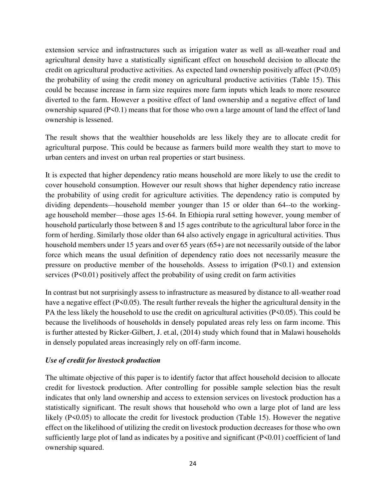extension service and infrastructures such as irrigation water as well as all-weather road and agricultural density have a statistically significant effect on household decision to allocate the credit on agricultural productive activities. As expected land ownership positively affect (P<0.05) the probability of using the credit money on agricultural productive activities (Table 15). This could be because increase in farm size requires more farm inputs which leads to more resource diverted to the farm. However a positive effect of land ownership and a negative effect of land ownership squared (P<0.1) means that for those who own a large amount of land the effect of land ownership is lessened.

The result shows that the wealthier households are less likely they are to allocate credit for agricultural purpose. This could be because as farmers build more wealth they start to move to urban centers and invest on urban real properties or start business.

It is expected that higher dependency ratio means household are more likely to use the credit to cover household consumption. However our result shows that higher dependency ratio increase the probability of using credit for agriculture activities. The dependency ratio is computed by dividing dependents—household member younger than 15 or older than 64--to the workingage household member—those ages 15-64. In Ethiopia rural setting however, young member of household particularly those between 8 and 15 ages contribute to the agricultural labor force in the form of herding. Similarly those older than 64 also actively engage in agricultural activities. Thus household members under 15 years and over 65 years (65+) are not necessarily outside of the labor force which means the usual definition of dependency ratio does not necessarily measure the pressure on productive member of the households. Assess to irrigation  $(P<0.1)$  and extension services (P<0.01) positively affect the probability of using credit on farm activities

In contrast but not surprisingly assess to infrastructure as measured by distance to all-weather road have a negative effect (P<0.05). The result further reveals the higher the agricultural density in the PA the less likely the household to use the credit on agricultural activities (P<0.05). This could be because the livelihoods of households in densely populated areas rely less on farm income. This is further attested by [Ricker-Gilbert,](http://www.sciencedirect.com/science/article/pii/S0306919214000414) J. et.al, (2014) study which found that in Malawi households in densely populated areas increasingly rely on off-farm income.

# *Use of credit for livestock production*

The ultimate objective of this paper is to identify factor that affect household decision to allocate credit for livestock production. After controlling for possible sample selection bias the result indicates that only land ownership and access to extension services on livestock production has a statistically significant. The result shows that household who own a large plot of land are less likely (P<0.05) to allocate the credit for livestock production (Table 15). However the negative effect on the likelihood of utilizing the credit on livestock production decreases for those who own sufficiently large plot of land as indicates by a positive and significant (P<0.01) coefficient of land ownership squared.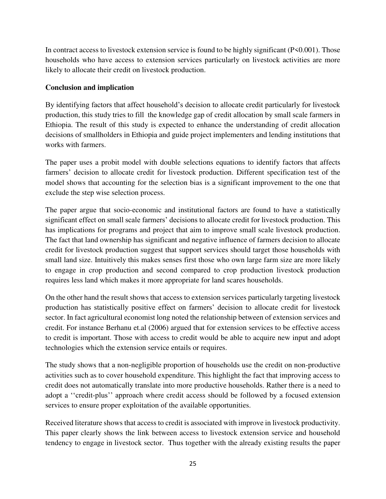In contract access to livestock extension service is found to be highly significant (P<0.001). Those households who have access to extension services particularly on livestock activities are more likely to allocate their credit on livestock production.

# **Conclusion and implication**

By identifying factors that affect household's decision to allocate credit particularly for livestock production, this study tries to fill the knowledge gap of credit allocation by small scale farmers in Ethiopia. The result of this study is expected to enhance the understanding of credit allocation decisions of smallholders in Ethiopia and guide project implementers and lending institutions that works with farmers.

The paper uses a probit model with double selections equations to identify factors that affects farmers' decision to allocate credit for livestock production. Different specification test of the model shows that accounting for the selection bias is a significant improvement to the one that exclude the step wise selection process.

The paper argue that socio-economic and institutional factors are found to have a statistically significant effect on small scale farmers' decisions to allocate credit for livestock production. This has implications for programs and project that aim to improve small scale livestock production. The fact that land ownership has significant and negative influence of farmers decision to allocate credit for livestock production suggest that support services should target those households with small land size. Intuitively this makes senses first those who own large farm size are more likely to engage in crop production and second compared to crop production livestock production requires less land which makes it more appropriate for land scares households.

On the other hand the result shows that access to extension services particularly targeting livestock production has statistically positive effect on farmers' decision to allocate credit for livestock sector. In fact agricultural economist long noted the relationship between of extension services and credit. For instance Berhanu et.al (2006) argued that for extension services to be effective access to credit is important. Those with access to credit would be able to acquire new input and adopt technologies which the extension service entails or requires.

The study shows that a non-negligible proportion of households use the credit on non-productive activities such as to cover household expenditure. This highlight the fact that improving access to credit does not automatically translate into more productive households. Rather there is a need to adopt a ''credit-plus'' approach where credit access should be followed by a focused extension services to ensure proper exploitation of the available opportunities.

Received literature shows that access to credit is associated with improve in livestock productivity. This paper clearly shows the link between access to livestock extension service and household tendency to engage in livestock sector. Thus together with the already existing results the paper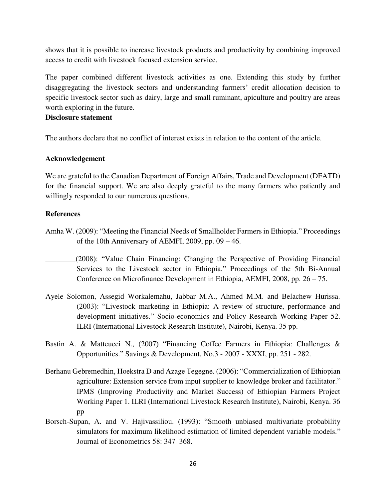shows that it is possible to increase livestock products and productivity by combining improved access to credit with livestock focused extension service.

The paper combined different livestock activities as one. Extending this study by further disaggregating the livestock sectors and understanding farmers' credit allocation decision to specific livestock sector such as dairy, large and small ruminant, apiculture and poultry are areas worth exploring in the future.

#### **Disclosure statement**

The authors declare that no conflict of interest exists in relation to the content of the article.

#### **Acknowledgement**

We are grateful to the Canadian Department of Foreign Affairs, Trade and Development (DFATD) for the financial support. We are also deeply grateful to the many farmers who patiently and willingly responded to our numerous questions.

#### **References**

- Amha W. (2009): "Meeting the Financial Needs of Smallholder Farmers in Ethiopia." Proceedings of the 10th Anniversary of AEMFI, 2009, pp.  $09 - 46$ .
- \_\_\_\_\_\_\_\_(2008): "Value Chain Financing: Changing the Perspective of Providing Financial Services to the Livestock sector in Ethiopia." Proceedings of the 5th Bi-Annual Conference on Microfinance Development in Ethiopia, AEMFI, 2008, pp. 26 – 75.
- Ayele Solomon, Assegid Workalemahu, Jabbar M.A., Ahmed M.M. and Belachew Hurissa. (2003): "Livestock marketing in Ethiopia: A review of structure, performance and development initiatives." Socio-economics and Policy Research Working Paper 52. ILRI (International Livestock Research Institute), Nairobi, Kenya. 35 pp.
- Bastin A. & Matteucci N., (2007) "Financing Coffee Farmers in Ethiopia: Challenges & Opportunities." Savings & Development, No.3 - 2007 - XXXI, pp. 251 - 282.
- Berhanu Gebremedhin, Hoekstra D and Azage Tegegne. (2006): "Commercialization of Ethiopian agriculture: Extension service from input supplier to knowledge broker and facilitator." IPMS (Improving Productivity and Market Success) of Ethiopian Farmers Project Working Paper 1. ILRI (International Livestock Research Institute), Nairobi, Kenya. 36 pp
- Borsch-Supan, A. and V. Hajivassiliou. (1993): "Smooth unbiased multivariate probability simulators for maximum likelihood estimation of limited dependent variable models." Journal of Econometrics 58: 347–368.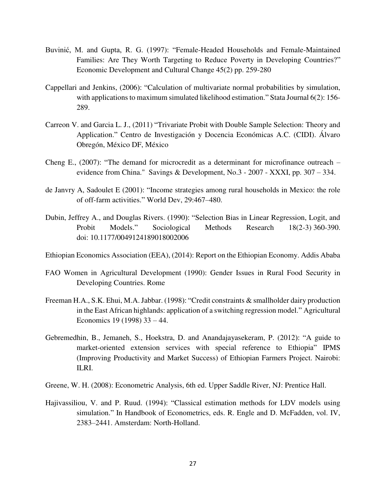- Buvinić, M. and Gupta, R. G. (1997): "Female-Headed Households and Female-Maintained Families: Are They Worth Targeting to Reduce Poverty in Developing Countries?" Economic Development and Cultural Change 45(2) pp. 259-280
- Cappellari and Jenkins, (2006): "Calculation of multivariate normal probabilities by simulation, with applications to maximum simulated likelihood estimation." Stata Journal 6(2): 156-289.
- Carreon V. and Garcia L. J., (2011) "Trivariate Probit with Double Sample Selection: Theory and Application." Centro de Investigación y Docencia Económicas A.C. (CIDI). Álvaro Obregón, México DF, México
- Cheng E., (2007): "The demand for microcredit as a determinant for microfinance outreach evidence from China." Savings & Development, No.3 - 2007 - XXXI, pp. 307 – 334.
- de Janvry A, Sadoulet E (2001): "Income strategies among rural households in Mexico: the role of off-farm activities." World Dev, 29:467–480.
- Dubin, Jeffrey A., and Douglas Rivers. (1990): "Selection Bias in Linear Regression, Logit, and Probit Models." Sociological Methods Research 18(2-3) 360-390. doi: 10.1177/0049124189018002006
- Ethiopian Economics Association (EEA), (2014): Report on the Ethiopian Economy. Addis Ababa
- FAO Women in Agricultural Development (1990): Gender Issues in Rural Food Security in Developing Countries. Rome
- Freeman H.A., S.K. Ehui, M.A. Jabbar. (1998): "Credit constraints & smallholder dairy production in the East African highlands: application of a switching regression model." Agricultural Economics 19 (1998) 33 – 44.
- Gebremedhin, B., Jemaneh, S., Hoekstra, D. and Anandajayasekeram, P. (2012): "A guide to market-oriented extension services with special reference to Ethiopia" IPMS (Improving Productivity and Market Success) of Ethiopian Farmers Project. Nairobi: ILRI.
- Greene, W. H. (2008): Econometric Analysis, 6th ed. Upper Saddle River, NJ: Prentice Hall.
- Hajivassiliou, V. and P. Ruud. (1994): "Classical estimation methods for LDV models using simulation." In Handbook of Econometrics, eds. R. Engle and D. McFadden, vol. IV, 2383–2441. Amsterdam: North-Holland.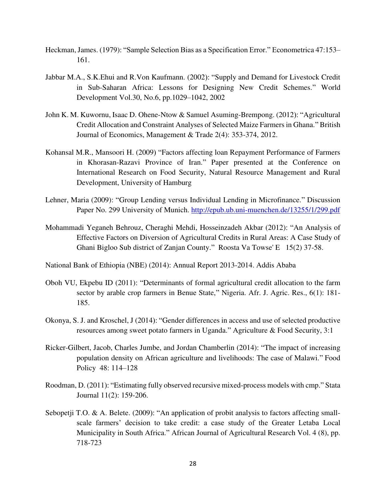- Heckman, James. (1979): "Sample Selection Bias as a Specification Error." Econometrica 47:153– 161.
- Jabbar M.A., S.K.Ehui and R.Von Kaufmann. (2002): "Supply and Demand for Livestock Credit in Sub-Saharan Africa: Lessons for Designing New Credit Schemes." World Development Vol.30, No.6, pp.1029–1042, 2002
- John K. M. Kuwornu, Isaac D. Ohene-Ntow & Samuel Asuming-Brempong. (2012): "Agricultural Credit Allocation and Constraint Analyses of Selected Maize Farmers in Ghana." British Journal of Economics, Management & Trade 2(4): 353-374, 2012.
- Kohansal M.R., Mansoori H. (2009) "Factors affecting loan Repayment Performance of Farmers in Khorasan-Razavi Province of Iran." Paper presented at the Conference on International Research on Food Security, Natural Resource Management and Rural Development, University of Hamburg
- Lehner, Maria (2009): "Group Lending versus Individual Lending in Microfinance." Discussion Paper No. 299 University of Munich.<http://epub.ub.uni-muenchen.de/13255/1/299.pdf>
- Mohammadi Yeganeh Behrouz, Cheraghi Mehdi, Hosseinzadeh Akbar (2012): "An Analysis of Effective Factors on Diversion of Agricultural Credits in Rural Areas: A Case Study of Ghani Bigloo Sub district of Zanjan County." Roosta Va Towse' E 15(2) 37-58.
- National Bank of Ethiopia (NBE) (2014): Annual Report 2013-2014. Addis Ababa
- Oboh VU, Ekpebu ID (2011): "Determinants of formal agricultural credit allocation to the farm sector by arable crop farmers in Benue State," Nigeria. Afr. J. Agric. Res., 6(1): 181- 185.
- Okonya, S. J. and Kroschel, J (2014): "Gender differences in access and use of selected productive resources among sweet potato farmers in Uganda." Agriculture & Food Security, 3:1
- Ricker-Gilbert, Jacob, Charles Jumbe, and Jordan Chamberlin (2014): "The impact of increasing population density on African agriculture and livelihoods: The case of Malawi." Food Policy [48:](http://www.sciencedirect.com/science/journal/03069192/48/supp/C) 114–128
- Roodman, D. (2011): "Estimating fully observed recursive mixed-process models with cmp." Stata Journal 11(2): 159-206.
- Sebopetji T.O. & A. Belete. (2009): "An application of probit analysis to factors affecting smallscale farmers' decision to take credit: a case study of the Greater Letaba Local Municipality in South Africa." African Journal of Agricultural Research Vol. 4 (8), pp. 718-723